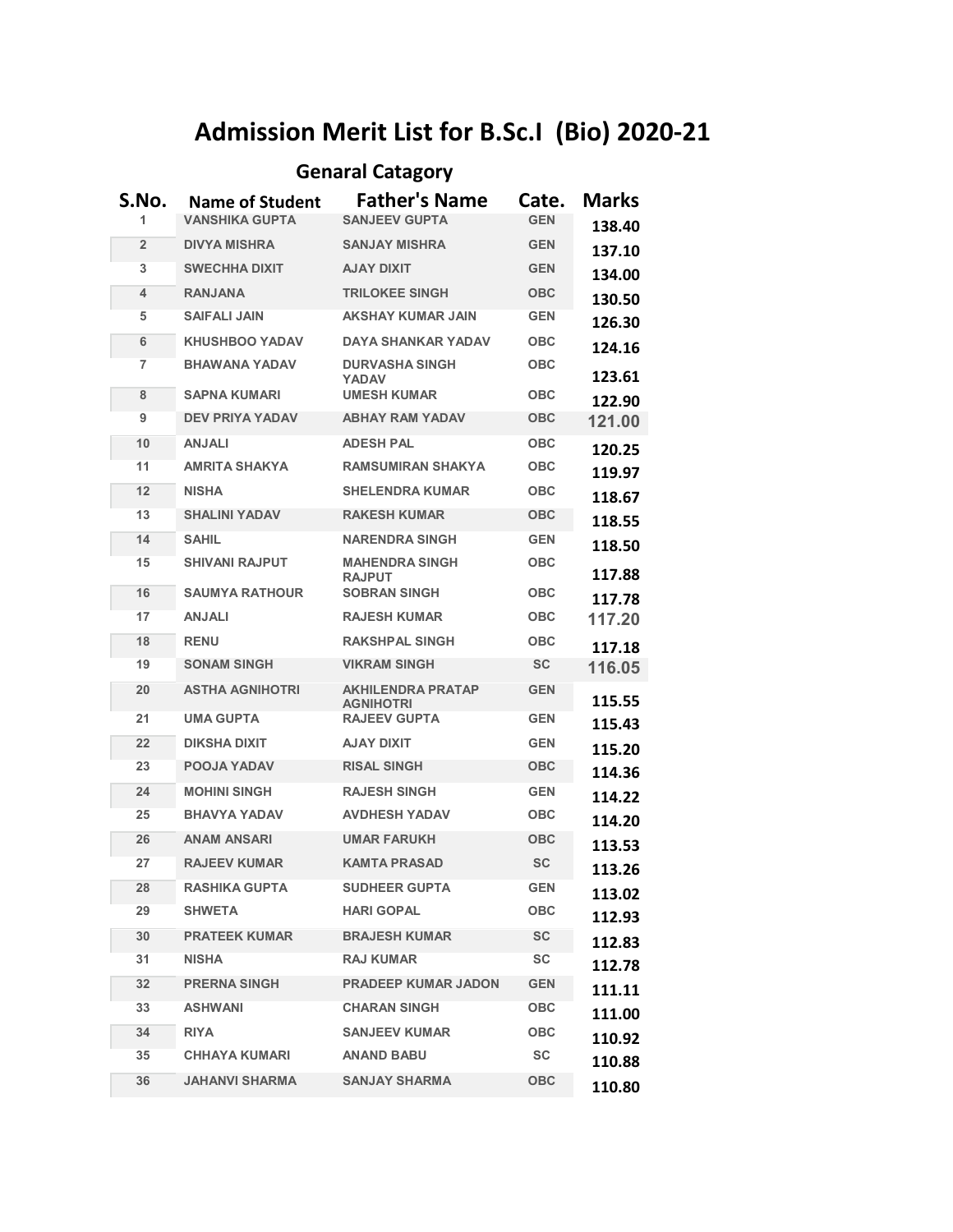## **Admission Merit List for B.Sc.I (Bio) 2020-21**

## **Genaral Catagory**

| S.No.          | <b>Name of Student</b> | <b>Father's Name</b>                         | Cate.      | <b>Marks</b> |
|----------------|------------------------|----------------------------------------------|------------|--------------|
| 1              | <b>VANSHIKA GUPTA</b>  | <b>SANJEEV GUPTA</b>                         | <b>GFN</b> | 138.40       |
| $\overline{2}$ | <b>DIVYA MISHRA</b>    | <b>SANJAY MISHRA</b>                         | <b>GEN</b> | 137.10       |
| 3              | <b>SWECHHA DIXIT</b>   | <b>AJAY DIXIT</b>                            | <b>GEN</b> | 134.00       |
| 4              | <b>RANJANA</b>         | <b>TRILOKEE SINGH</b>                        | <b>OBC</b> | 130.50       |
| 5              | <b>SAIFALI JAIN</b>    | <b>AKSHAY KUMAR JAIN</b>                     | <b>GEN</b> | 126.30       |
| 6              | <b>KHUSHBOO YADAV</b>  | <b>DAYA SHANKAR YADAV</b>                    | <b>OBC</b> | 124.16       |
| 7              | <b>BHAWANA YADAV</b>   | <b>DURVASHA SINGH</b><br><b>YADAV</b>        | <b>OBC</b> | 123.61       |
| 8              | <b>SAPNA KUMARI</b>    | <b>UMESH KUMAR</b>                           | <b>OBC</b> | 122.90       |
| 9              | <b>DEV PRIYA YADAV</b> | <b>ABHAY RAM YADAV</b>                       | <b>OBC</b> | 121.00       |
| 10             | <b>ANJALI</b>          | <b>ADESH PAL</b>                             | <b>OBC</b> | 120.25       |
| 11             | <b>AMRITA SHAKYA</b>   | <b>RAMSUMIRAN SHAKYA</b>                     | <b>OBC</b> | 119.97       |
| 12             | <b>NISHA</b>           | <b>SHELENDRA KUMAR</b>                       | <b>OBC</b> | 118.67       |
| 13             | <b>SHALINI YADAV</b>   | <b>RAKESH KUMAR</b>                          | <b>OBC</b> | 118.55       |
| 14             | <b>SAHIL</b>           | <b>NARENDRA SINGH</b>                        | <b>GEN</b> | 118.50       |
| 15             | <b>SHIVANI RAJPUT</b>  | <b>MAHENDRA SINGH</b><br><b>RAJPUT</b>       | <b>OBC</b> | 117.88       |
| 16             | <b>SAUMYA RATHOUR</b>  | <b>SOBRAN SINGH</b>                          | <b>OBC</b> | 117.78       |
| 17             | <b>ANJALI</b>          | <b>RAJESH KUMAR</b>                          | <b>OBC</b> | 117.20       |
| 18             | <b>RENU</b>            | <b>RAKSHPAL SINGH</b>                        | <b>OBC</b> | 117.18       |
| 19             | <b>SONAM SINGH</b>     | <b>VIKRAM SINGH</b>                          | <b>SC</b>  | 116.05       |
| 20             | <b>ASTHA AGNIHOTRI</b> | <b>AKHILENDRA PRATAP</b><br><b>AGNIHOTRI</b> | <b>GEN</b> | 115.55       |
| 21             | <b>UMA GUPTA</b>       | <b>RAJEEV GUPTA</b>                          | <b>GEN</b> | 115.43       |
| 22             | <b>DIKSHA DIXIT</b>    | <b>TIXIO YALA</b>                            | <b>GEN</b> | 115.20       |
| 23             | <b>POOJA YADAV</b>     | <b>RISAL SINGH</b>                           | <b>OBC</b> | 114.36       |
| 24             | <b>MOHINI SINGH</b>    | <b>RAJESH SINGH</b>                          | <b>GEN</b> | 114.22       |
| 25             | <b>BHAVYA YADAV</b>    | <b>AVDHESH YADAV</b>                         | <b>OBC</b> | 114.20       |
| 26             | <b>ANAM ANSARI</b>     | <b>UMAR FARUKH</b>                           | <b>OBC</b> | 113.53       |
| 27             | <b>RAJEEV KUMAR</b>    | <b>KAMTA PRASAD</b>                          | SC         | 113.26       |
| 28             | <b>RASHIKA GUPTA</b>   | <b>SUDHEER GUPTA</b>                         | GEN        | 113.02       |
| 29             | <b>SHWETA</b>          | <b>HARI GOPAL</b>                            | <b>OBC</b> | 112.93       |
| 30             | <b>PRATEEK KUMAR</b>   | <b>BRAJESH KUMAR</b>                         | <b>SC</b>  | 112.83       |
| 31             | <b>NISHA</b>           | <b>RAJ KUMAR</b>                             | SC         | 112.78       |
| 32             | <b>PRERNA SINGH</b>    | <b>PRADEEP KUMAR JADON</b>                   | <b>GEN</b> | 111.11       |
| 33             | <b>ASHWANI</b>         | <b>CHARAN SINGH</b>                          | <b>OBC</b> | 111.00       |
| 34             | <b>RIYA</b>            | <b>SANJEEV KUMAR</b>                         | <b>OBC</b> | 110.92       |
| 35             | <b>CHHAYA KUMARI</b>   | <b>ANAND BABU</b>                            | SC         | 110.88       |
| 36             | <b>JAHANVI SHARMA</b>  | <b>SANJAY SHARMA</b>                         | <b>OBC</b> | 110.80       |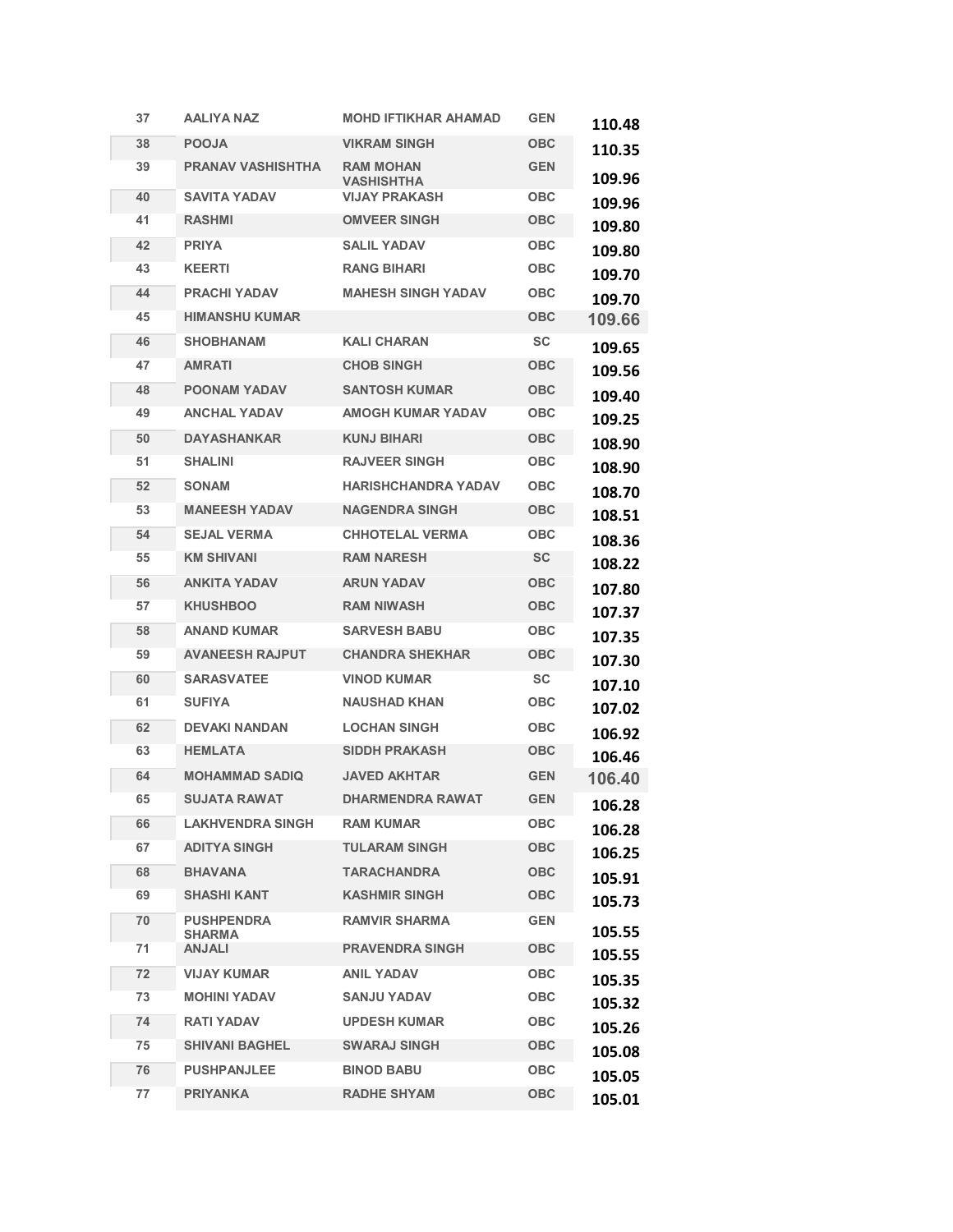| 37 | <b>AALIYA NAZ</b>                  | <b>MOHD IFTIKHAR AHAMAD</b>    | <b>GEN</b> | 110.48 |
|----|------------------------------------|--------------------------------|------------|--------|
| 38 | <b>POOJA</b>                       | <b>VIKRAM SINGH</b>            | <b>OBC</b> | 110.35 |
| 39 | <b>PRANAV VASHISHTHA</b>           | <b>RAM MOHAN</b><br>VASHISHTHA | <b>GEN</b> | 109.96 |
| 40 | <b>SAVITA YADAV</b>                | <b>VIJAY PRAKASH</b>           | <b>OBC</b> | 109.96 |
| 41 | <b>RASHMI</b>                      | <b>OMVEER SINGH</b>            | <b>OBC</b> | 109.80 |
| 42 | <b>PRIYA</b>                       | <b>SALIL YADAV</b>             | <b>OBC</b> | 109.80 |
| 43 | <b>KEERTI</b>                      | <b>RANG BIHARI</b>             | OBC        | 109.70 |
| 44 | <b>PRACHI YADAV</b>                | <b>MAHESH SINGH YADAV</b>      | <b>OBC</b> | 109.70 |
| 45 | <b>HIMANSHU KUMAR</b>              |                                | <b>OBC</b> | 109.66 |
| 46 | <b>SHOBHANAM</b>                   | <b>KALI CHARAN</b>             | <b>SC</b>  | 109.65 |
| 47 | <b>AMRATI</b>                      | <b>CHOB SINGH</b>              | OBC        | 109.56 |
| 48 | <b>POONAM YADAV</b>                | <b>SANTOSH KUMAR</b>           | <b>OBC</b> | 109.40 |
| 49 | <b>ANCHAL YADAV</b>                | AMOGH KUMAR YADAV              | OBC        | 109.25 |
| 50 | <b>DAYASHANKAR</b>                 | <b>KUNJ BIHARI</b>             | <b>OBC</b> | 108.90 |
| 51 | <b>SHALINI</b>                     | <b>RAJVEER SINGH</b>           | <b>OBC</b> | 108.90 |
| 52 | <b>SONAM</b>                       | <b>HARISHCHANDRA YADAV</b>     | <b>OBC</b> | 108.70 |
| 53 | <b>MANEESH YADAV</b>               | <b>NAGENDRA SINGH</b>          | <b>OBC</b> | 108.51 |
| 54 | <b>SEJAL VERMA</b>                 | <b>CHHOTELAL VERMA</b>         | <b>OBC</b> | 108.36 |
| 55 | <b>KM SHIVANI</b>                  | <b>RAM NARESH</b>              | <b>SC</b>  | 108.22 |
| 56 | <b>ANKITA YADAV</b>                | <b>ARUN YADAV</b>              | <b>OBC</b> | 107.80 |
| 57 | <b>KHUSHBOO</b>                    | <b>RAM NIWASH</b>              | <b>OBC</b> | 107.37 |
| 58 | <b>ANAND KUMAR</b>                 | <b>SARVESH BABU</b>            | <b>OBC</b> | 107.35 |
| 59 | <b>AVANEESH RAJPUT</b>             | <b>CHANDRA SHEKHAR</b>         | <b>OBC</b> | 107.30 |
| 60 | <b>SARASVATEE</b>                  | <b>VINOD KUMAR</b>             | <b>SC</b>  | 107.10 |
| 61 | <b>SUFIYA</b>                      | <b>NAUSHAD KHAN</b>            | OBC        | 107.02 |
| 62 | <b>DEVAKI NANDAN</b>               | <b>LOCHAN SINGH</b>            | <b>OBC</b> | 106.92 |
| 63 | <b>HEMLATA</b>                     | <b>SIDDH PRAKASH</b>           | <b>OBC</b> | 106.46 |
| 64 | <b>MOHAMMAD SADIQ</b>              | JAVED AKHTAR                   | <b>GEN</b> | 106.40 |
| 65 | <b>SUJATA RAWAT</b>                | <b>DHARMENDRA RAWAT</b>        | <b>GEN</b> | 106.28 |
| 66 | <b>LAKHVENDRA SINGH</b>            | <b>RAM KUMAR</b>               | <b>OBC</b> | 106.28 |
| 67 | <b>ADITYA SINGH</b>                | <b>TULARAM SINGH</b>           | <b>OBC</b> | 106.25 |
| 68 | <b>BHAVANA</b>                     | <b>TARACHANDRA</b>             | <b>OBC</b> | 105.91 |
| 69 | <b>SHASHI KANT</b>                 | <b>KASHMIR SINGH</b>           | <b>OBC</b> | 105.73 |
| 70 | <b>PUSHPENDRA</b><br><b>SHARMA</b> | <b>RAMVIR SHARMA</b>           | <b>GEN</b> | 105.55 |
| 71 | <b>ANJALI</b>                      | <b>PRAVENDRA SINGH</b>         | <b>OBC</b> | 105.55 |
| 72 | <b>VIJAY KUMAR</b>                 | <b>ANIL YADAV</b>              | <b>OBC</b> | 105.35 |
| 73 | <b>MOHINI YADAV</b>                | <b>SANJU YADAV</b>             | <b>OBC</b> | 105.32 |
| 74 | <b>RATI YADAV</b>                  | <b>UPDESH KUMAR</b>            | <b>OBC</b> | 105.26 |
| 75 | <b>SHIVANI BAGHEL</b>              | <b>SWARAJ SINGH</b>            | <b>OBC</b> | 105.08 |
| 76 | <b>PUSHPANJLEE</b>                 | <b>BINOD BABU</b>              | <b>OBC</b> | 105.05 |
| 77 | <b>PRIYANKA</b>                    | <b>RADHE SHYAM</b>             | <b>OBC</b> | 105.01 |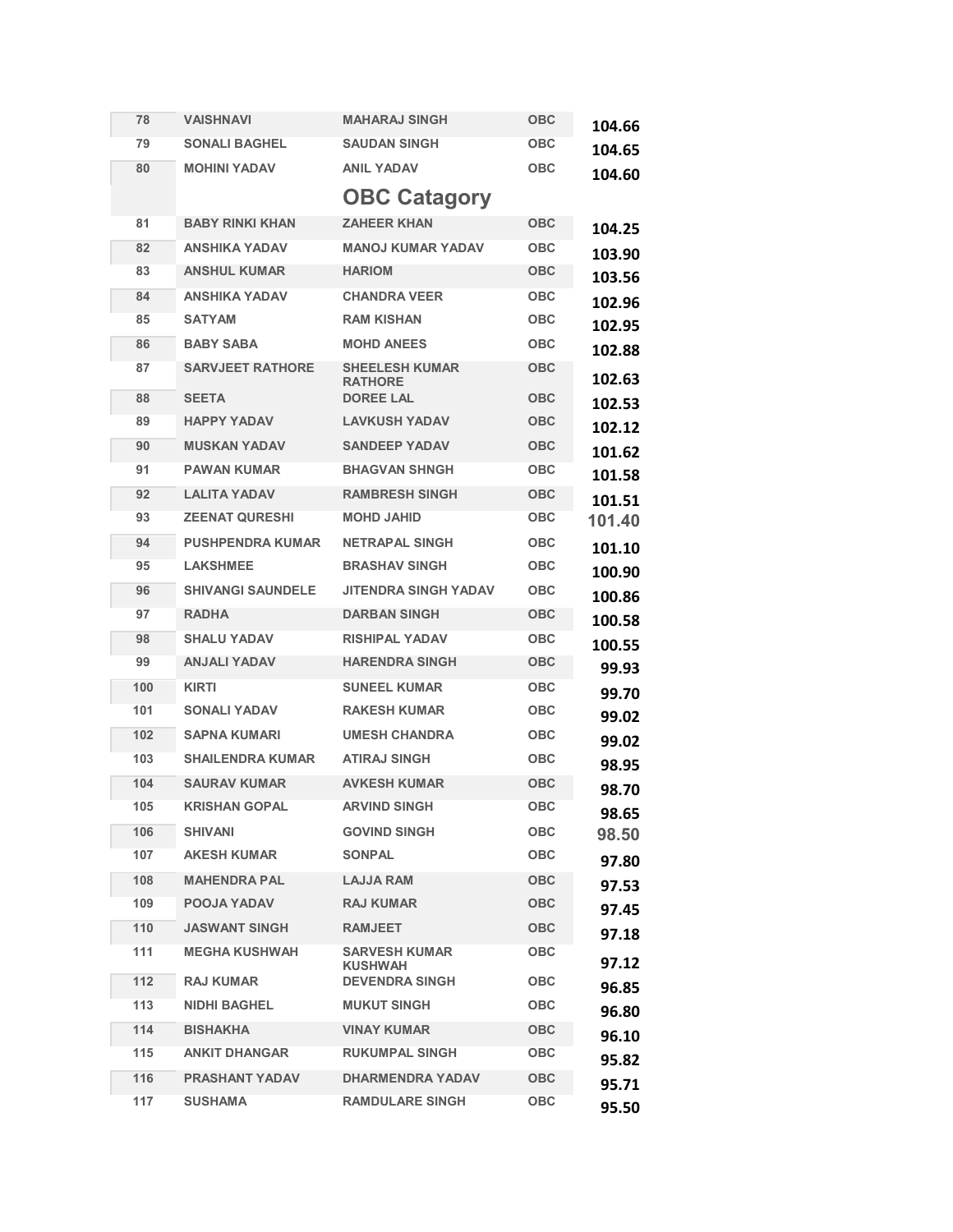| 78  | VAISHNAVI                | <b>MAHARAJ SINGH</b>                    | <b>OBC</b> | 104.66 |
|-----|--------------------------|-----------------------------------------|------------|--------|
| 79  | <b>SONALI BAGHEL</b>     | <b>SAUDAN SINGH</b>                     | <b>OBC</b> | 104.65 |
| 80  | <b>MOHINI YADAV</b>      | <b>ANIL YADAV</b>                       | <b>OBC</b> | 104.60 |
|     |                          | <b>OBC Catagory</b>                     |            |        |
| 81  | <b>BABY RINKI KHAN</b>   | <b>ZAHEER KHAN</b>                      | <b>OBC</b> | 104.25 |
| 82  | <b>ANSHIKA YADAV</b>     | <b>MANOJ KUMAR YADAV</b>                | <b>OBC</b> | 103.90 |
| 83  | <b>ANSHUL KUMAR</b>      | <b>HARIOM</b>                           | <b>OBC</b> | 103.56 |
| 84  | <b>ANSHIKA YADAV</b>     | <b>CHANDRA VEER</b>                     | <b>OBC</b> | 102.96 |
| 85  | <b>SATYAM</b>            | <b>RAM KISHAN</b>                       | <b>OBC</b> | 102.95 |
| 86  | <b>BABY SABA</b>         | <b>MOHD ANEES</b>                       | <b>OBC</b> | 102.88 |
| 87  | <b>SARVJEET RATHORE</b>  | <b>SHEELESH KUMAR</b><br><b>RATHORE</b> | <b>OBC</b> | 102.63 |
| 88  | <b>SEETA</b>             | <b>DOREE LAL</b>                        | <b>OBC</b> | 102.53 |
| 89  | <b>HAPPY YADAV</b>       | <b>LAVKUSH YADAV</b>                    | <b>OBC</b> | 102.12 |
| 90  | <b>MUSKAN YADAV</b>      | <b>SANDEEP YADAV</b>                    | <b>OBC</b> | 101.62 |
| 91  | <b>PAWAN KUMAR</b>       | <b>BHAGVAN SHNGH</b>                    | <b>OBC</b> | 101.58 |
| 92  | <b>LALITA YADAV</b>      | <b>RAMBRESH SINGH</b>                   | <b>OBC</b> | 101.51 |
| 93  | <b>ZEENAT QURESHI</b>    | <b>MOHD JAHID</b>                       | <b>OBC</b> | 101.40 |
| 94  | <b>PUSHPENDRA KUMAR</b>  | <b>NETRAPAL SINGH</b>                   | <b>OBC</b> | 101.10 |
| 95  | <b>LAKSHMEE</b>          | <b>BRASHAV SINGH</b>                    | <b>OBC</b> | 100.90 |
| 96  | <b>SHIVANGI SAUNDELE</b> | <b>JITENDRA SINGH YADAV</b>             | <b>OBC</b> | 100.86 |
| 97  | <b>RADHA</b>             | <b>DARBAN SINGH</b>                     | <b>OBC</b> | 100.58 |
| 98  | <b>SHALU YADAV</b>       | <b>RISHIPAL YADAV</b>                   | <b>OBC</b> | 100.55 |
| 99  | <b>ANJALI YADAV</b>      | <b>HARENDRA SINGH</b>                   | <b>OBC</b> | 99.93  |
| 100 | <b>KIRTI</b>             | <b>SUNEEL KUMAR</b>                     | <b>OBC</b> | 99.70  |
| 101 | <b>SONALI YADAV</b>      | <b>RAKESH KUMAR</b>                     | <b>OBC</b> | 99.02  |
| 102 | <b>SAPNA KUMARI</b>      | <b>UMESH CHANDRA</b>                    | <b>OBC</b> | 99.02  |
| 103 | <b>SHAILENDRA KUMAR</b>  | <b>ATIRAJ SINGH</b>                     | <b>OBC</b> | 98.95  |
| 104 | <b>SAURAV KUMAR</b>      | <b>AVKESH KUMAR</b>                     | <b>OBC</b> | 98.70  |
| 105 | <b>KRISHAN GOPAL</b>     | <b>ARVIND SINGH</b>                     | <b>OBC</b> | 98.65  |
| 106 | <b>SHIVANI</b>           | <b>GOVIND SINGH</b>                     | <b>OBC</b> | 98.50  |
| 107 | <b>AKESH KUMAR</b>       | <b>SONPAL</b>                           | <b>OBC</b> | 97.80  |
| 108 | <b>MAHENDRA PAL</b>      | <b>LAJJA RAM</b>                        | <b>OBC</b> | 97.53  |
| 109 | <b>POOJA YADAV</b>       | <b>RAJ KUMAR</b>                        | <b>OBC</b> | 97.45  |
| 110 | <b>JASWANT SINGH</b>     | <b>RAMJEET</b>                          | <b>OBC</b> | 97.18  |
| 111 | <b>MEGHA KUSHWAH</b>     | <b>SARVESH KUMAR</b><br><b>KUSHWAH</b>  | <b>OBC</b> | 97.12  |
| 112 | <b>RAJ KUMAR</b>         | <b>DEVENDRA SINGH</b>                   | <b>OBC</b> | 96.85  |
| 113 | <b>NIDHI BAGHEL</b>      | <b>MUKUT SINGH</b>                      | <b>OBC</b> | 96.80  |
| 114 | <b>BISHAKHA</b>          | <b>VINAY KUMAR</b>                      | <b>OBC</b> | 96.10  |
| 115 | <b>ANKIT DHANGAR</b>     | <b>RUKUMPAL SINGH</b>                   | <b>OBC</b> | 95.82  |
| 116 | <b>PRASHANT YADAV</b>    | <b>DHARMENDRA YADAV</b>                 | <b>OBC</b> | 95.71  |
| 117 | <b>SUSHAMA</b>           | <b>RAMDULARE SINGH</b>                  | <b>OBC</b> | 95.50  |